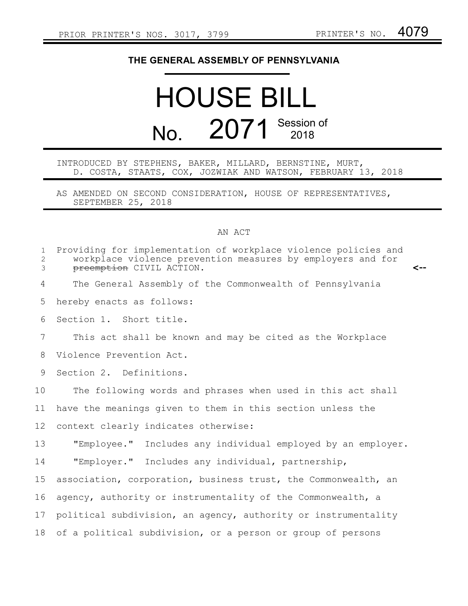## **THE GENERAL ASSEMBLY OF PENNSYLVANIA**

## HOUSE BILL No. 2071 Session of

## INTRODUCED BY STEPHENS, BAKER, MILLARD, BERNSTINE, MURT, D. COSTA, STAATS, COX, JOZWIAK AND WATSON, FEBRUARY 13, 2018

AS AMENDED ON SECOND CONSIDERATION, HOUSE OF REPRESENTATIVES, SEPTEMBER 25, 2018

## AN ACT

| $\mathbf{1}$<br>$\mathbf{2}$<br>3 | Providing for implementation of workplace violence policies and<br>workplace violence prevention measures by employers and for<br>preemption CIVIL ACTION.<br><-- |
|-----------------------------------|-------------------------------------------------------------------------------------------------------------------------------------------------------------------|
| 4                                 | The General Assembly of the Commonwealth of Pennsylvania                                                                                                          |
| 5                                 | hereby enacts as follows:                                                                                                                                         |
| 6                                 | Section 1. Short title.                                                                                                                                           |
| 7                                 | This act shall be known and may be cited as the Workplace                                                                                                         |
| 8                                 | Violence Prevention Act.                                                                                                                                          |
| 9                                 | Section 2. Definitions.                                                                                                                                           |
| 10                                | The following words and phrases when used in this act shall                                                                                                       |
| 11                                | have the meanings given to them in this section unless the                                                                                                        |
| 12                                | context clearly indicates otherwise:                                                                                                                              |
| 13                                | "Employee." Includes any individual employed by an employer.                                                                                                      |
| 14                                | "Employer." Includes any individual, partnership,                                                                                                                 |
| 15                                | association, corporation, business trust, the Commonwealth, an                                                                                                    |
| 16                                | agency, authority or instrumentality of the Commonwealth, a                                                                                                       |
| 17                                | political subdivision, an agency, authority or instrumentality                                                                                                    |
| 18                                | of a political subdivision, or a person or group of persons                                                                                                       |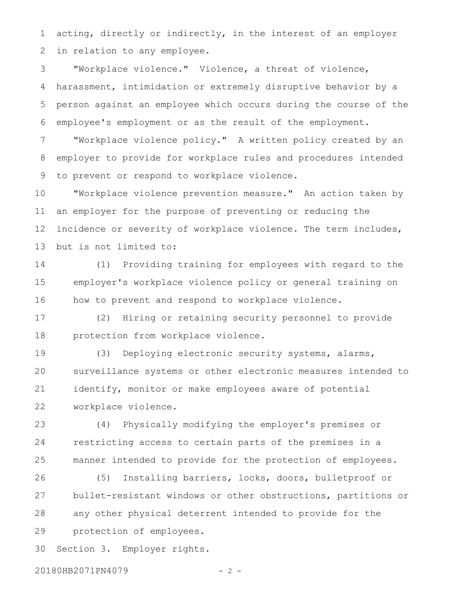acting, directly or indirectly, in the interest of an employer in relation to any employee. 1 2

"Workplace violence." Violence, a threat of violence, harassment, intimidation or extremely disruptive behavior by a person against an employee which occurs during the course of the employee's employment or as the result of the employment. 3 4 5 6

"Workplace violence policy." A written policy created by an employer to provide for workplace rules and procedures intended to prevent or respond to workplace violence. 7 8 9

"Workplace violence prevention measure." An action taken by an employer for the purpose of preventing or reducing the incidence or severity of workplace violence. The term includes, but is not limited to: 10 11 12 13

(1) Providing training for employees with regard to the employer's workplace violence policy or general training on how to prevent and respond to workplace violence. 14 15 16

(2) Hiring or retaining security personnel to provide protection from workplace violence. 17 18

(3) Deploying electronic security systems, alarms, surveillance systems or other electronic measures intended to identify, monitor or make employees aware of potential workplace violence. 19 20 21 22

(4) Physically modifying the employer's premises or restricting access to certain parts of the premises in a manner intended to provide for the protection of employees. 23 24 25

(5) Installing barriers, locks, doors, bulletproof or bullet-resistant windows or other obstructions, partitions or any other physical deterrent intended to provide for the protection of employees. 26 27 28 29

Section 3. Employer rights. 30

20180HB2071PN4079 - 2 -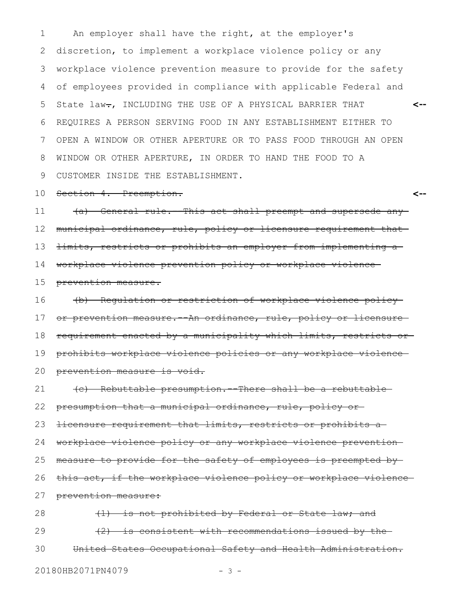An employer shall have the right, at the employer's discretion, to implement a workplace violence policy or any workplace violence prevention measure to provide for the safety of employees provided in compliance with applicable Federal and State law-, INCLUDING THE USE OF A PHYSICAL BARRIER THAT REQUIRES A PERSON SERVING FOOD IN ANY ESTABLISHMENT EITHER TO OPEN A WINDOW OR OTHER APERTURE OR TO PASS FOOD THROUGH AN OPEN WINDOW OR OTHER APERTURE, IN ORDER TO HAND THE FOOD TO A CUSTOMER INSIDE THE ESTABLISHMENT. **<--** 1 2 3 4 5 6 7 8 9

Section 4. Preemption. 10

**<--**

(a) General rule.--This act shall preempt and supersede any municipal ordinance, rule, policy or licensure requirement that limits, restricts or prohibits an employer from implementing a workplace violence prevention policy or workplace violence prevention measure. (b) Regulation or restriction of workplace violence policy 11 12 13 14 15 16

or prevention measure. An ordinance, rule, policy or licensure requirement enacted by a municipality which limits, restricts or prohibits workplace violence policies or any workplace violence prevention measure is void. 17 18 19 20

(c) Rebuttable presumption.--There shall be a rebuttable presumption that a municipal ordinance, rule, policy or licensure requirement that limits, restricts or prohibits a workplace violence policy or any workplace violence prevention measure to provide for the safety of employees is preempted by this act, if the workplace violence policy or workplace violence prevention measure: 21 22 23 24 25 26 27

(1) is not prohibited by Federal or State law; and (2) is consistent with recommendations issued by the United States Occupational Safety and Health Administration. 28 29 30